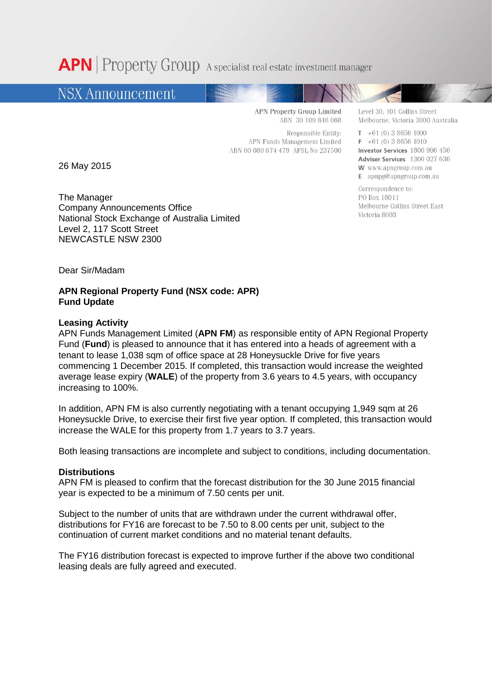**APN** Property Group A specialist real estate investment manager

# **NSX Announcement**

**APN Property Group Limited** ABN 30 109 846 068

Responsible Entity: APN Funds Management Limited ABN 60 080 674 479 AFSL No 237500

26 May 2015

The Manager Company Announcements Office National Stock Exchange of Australia Limited Level 2, 117 Scott Street NEWCASTLE NSW 2300

Level 30, 101 Collins Street Melbourne, Victoria 3000 Australia

 $T + 61(0) 386561000$  $F + 61(0) 386561010$ Investor Services 1800 996 456 Adviser Services 1300 027 636 W www.apngroup.com.au E apnpg@apngroup.com.au

Correspondence to: PO Box 18011 Melbourne Collins Street East Victoria 8003

Dear Sir/Madam

## **APN Regional Property Fund (NSX code: APR) Fund Update**

### **Leasing Activity**

APN Funds Management Limited (**APN FM**) as responsible entity of APN Regional Property Fund (**Fund**) is pleased to announce that it has entered into a heads of agreement with a tenant to lease 1,038 sqm of office space at 28 Honeysuckle Drive for five years commencing 1 December 2015. If completed, this transaction would increase the weighted average lease expiry (**WALE**) of the property from 3.6 years to 4.5 years, with occupancy increasing to 100%.

In addition, APN FM is also currently negotiating with a tenant occupying 1,949 sqm at 26 Honeysuckle Drive, to exercise their first five year option. If completed, this transaction would increase the WALE for this property from 1.7 years to 3.7 years.

Both leasing transactions are incomplete and subject to conditions, including documentation.

### **Distributions**

APN FM is pleased to confirm that the forecast distribution for the 30 June 2015 financial year is expected to be a minimum of 7.50 cents per unit.

Subject to the number of units that are withdrawn under the current withdrawal offer, distributions for FY16 are forecast to be 7.50 to 8.00 cents per unit, subject to the continuation of current market conditions and no material tenant defaults.

The FY16 distribution forecast is expected to improve further if the above two conditional leasing deals are fully agreed and executed.